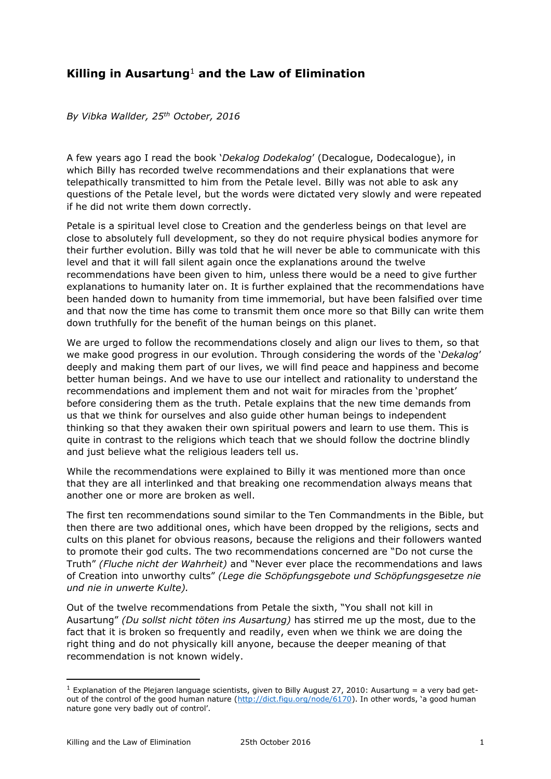# **Killing in Ausartung**<sup>1</sup>  **and the Law of Elimination**

*By Vibka Wallder, 25th October, 2016*

A few years ago I read the book '*Dekalog Dodekalog*' (Decalogue, Dodecalogue), in which Billy has recorded twelve recommendations and their explanations that were telepathically transmitted to him from the Petale level. Billy was not able to ask any questions of the Petale level, but the words were dictated very slowly and were repeated if he did not write them down correctly.

Petale is a spiritual level close to Creation and the genderless beings on that level are close to absolutely full development, so they do not require physical bodies anymore for their further evolution. Billy was told that he will never be able to communicate with this level and that it will fall silent again once the explanations around the twelve recommendations have been given to him, unless there would be a need to give further explanations to humanity later on. It is further explained that the recommendations have been handed down to humanity from time immemorial, but have been falsified over time and that now the time has come to transmit them once more so that Billy can write them down truthfully for the benefit of the human beings on this planet.

We are urged to follow the recommendations closely and align our lives to them, so that we make good progress in our evolution. Through considering the words of the '*Dekalog*' deeply and making them part of our lives, we will find peace and happiness and become better human beings. And we have to use our intellect and rationality to understand the recommendations and implement them and not wait for miracles from the 'prophet' before considering them as the truth. Petale explains that the new time demands from us that we think for ourselves and also guide other human beings to independent thinking so that they awaken their own spiritual powers and learn to use them. This is quite in contrast to the religions which teach that we should follow the doctrine blindly and just believe what the religious leaders tell us.

While the recommendations were explained to Billy it was mentioned more than once that they are all interlinked and that breaking one recommendation always means that another one or more are broken as well.

The first ten recommendations sound similar to the Ten Commandments in the Bible, but then there are two additional ones, which have been dropped by the religions, sects and cults on this planet for obvious reasons, because the religions and their followers wanted to promote their god cults. The two recommendations concerned are "Do not curse the Truth" *(Fluche nicht der Wahrheit)* and "Never ever place the recommendations and laws of Creation into unworthy cults" *(Lege die Schöpfungsgebote und Schöpfungsgesetze nie und nie in unwerte Kulte).* 

Out of the twelve recommendations from Petale the sixth, "You shall not kill in Ausartung" *(Du sollst nicht töten ins Ausartung)* has stirred me up the most, due to the fact that it is broken so frequently and readily, even when we think we are doing the right thing and do not physically kill anyone, because the deeper meaning of that recommendation is not known widely.

<u>.</u>

<sup>&</sup>lt;sup>1</sup> Explanation of the Plejaren language scientists, given to Billy August 27, 2010: Ausartung = a very bad get-out of the control of the good human nature [\(http://dict.figu.org/node/6170](http://dict.figu.org/node/6170)). In other words, 'a good human nature gone very badly out of control'.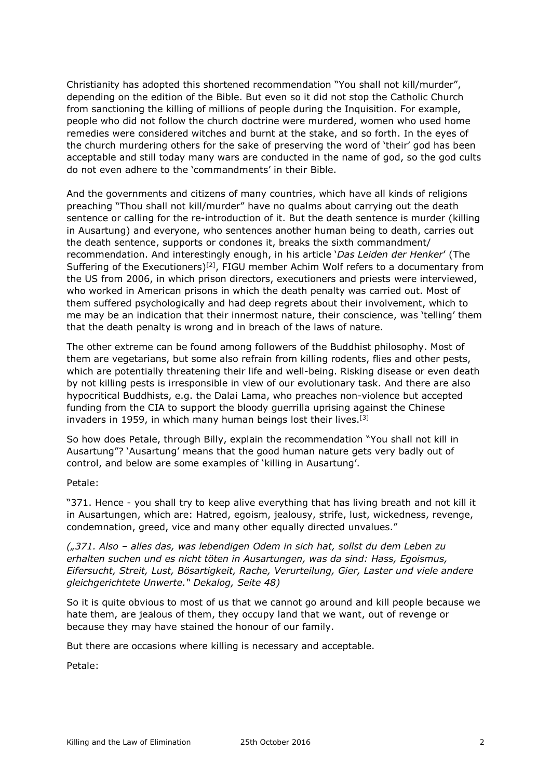Christianity has adopted this shortened recommendation "You shall not kill/murder", depending on the edition of the Bible. But even so it did not stop the Catholic Church from sanctioning the killing of millions of people during the Inquisition. For example, people who did not follow the church doctrine were murdered, women who used home remedies were considered witches and burnt at the stake, and so forth. In the eyes of the church murdering others for the sake of preserving the word of 'their' god has been acceptable and still today many wars are conducted in the name of god, so the god cults do not even adhere to the 'commandments' in their Bible.

And the governments and citizens of many countries, which have all kinds of religions preaching "Thou shall not kill/murder" have no qualms about carrying out the death sentence or calling for the re-introduction of it. But the death sentence is murder (killing in Ausartung) and everyone, who sentences another human being to death, carries out the death sentence, supports or condones it, breaks the sixth commandment/ recommendation. And interestingly enough, in his article '*Das Leiden der Henker*' (The Suffering of the Executioners)<sup>[2]</sup>, FIGU member Achim Wolf refers to a documentary from the US from 2006, in which prison directors, executioners and priests were interviewed, who worked in American prisons in which the death penalty was carried out. Most of them suffered psychologically and had deep regrets about their involvement, which to me may be an indication that their innermost nature, their conscience, was 'telling' them that the death penalty is wrong and in breach of the laws of nature.

The other extreme can be found among followers of the Buddhist philosophy. Most of them are vegetarians, but some also refrain from killing rodents, flies and other pests, which are potentially threatening their life and well-being. Risking disease or even death by not killing pests is irresponsible in view of our evolutionary task. And there are also hypocritical Buddhists, e.g. the Dalai Lama, who preaches non-violence but accepted funding from the CIA to support the bloody guerrilla uprising against the Chinese invaders in 1959, in which many human beings lost their lives.[3]

So how does Petale, through Billy, explain the recommendation "You shall not kill in Ausartung"? 'Ausartung' means that the good human nature gets very badly out of control, and below are some examples of 'killing in Ausartung'.

Petale:

"371. Hence - you shall try to keep alive everything that has living breath and not kill it in Ausartungen, which are: Hatred, egoism, jealousy, strife, lust, wickedness, revenge, condemnation, greed, vice and many other equally directed unvalues."

*("371. Also – alles das, was lebendigen Odem in sich hat, sollst du dem Leben zu erhalten suchen und es nicht töten in Ausartungen, was da sind: Hass, Egoismus, Eifersucht, Streit, Lust, Bösartigkeit, Rache, Verurteilung, Gier, Laster und viele andere gleichgerichtete Unwerte." Dekalog, Seite 48)*

So it is quite obvious to most of us that we cannot go around and kill people because we hate them, are jealous of them, they occupy land that we want, out of revenge or because they may have stained the honour of our family.

But there are occasions where killing is necessary and acceptable.

Petale: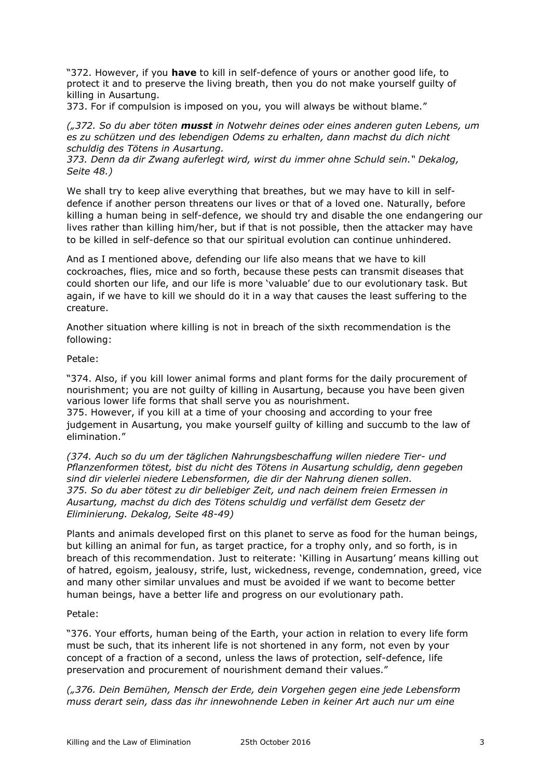"372. However, if you **have** to kill in self-defence of yours or another good life, to protect it and to preserve the living breath, then you do not make yourself guilty of killing in Ausartung.

373. For if compulsion is imposed on you, you will always be without blame."

*("372. So du aber töten musst in Notwehr deines oder eines anderen guten Lebens, um es zu schützen und des lebendigen Odems zu erhalten, dann machst du dich nicht schuldig des Tötens in Ausartung.* 

*373. Denn da dir Zwang auferlegt wird, wirst du immer ohne Schuld sein." Dekalog, Seite 48.)* 

We shall try to keep alive everything that breathes, but we may have to kill in selfdefence if another person threatens our lives or that of a loved one. Naturally, before killing a human being in self-defence, we should try and disable the one endangering our lives rather than killing him/her, but if that is not possible, then the attacker may have to be killed in self-defence so that our spiritual evolution can continue unhindered.

And as I mentioned above, defending our life also means that we have to kill cockroaches, flies, mice and so forth, because these pests can transmit diseases that could shorten our life, and our life is more 'valuable' due to our evolutionary task. But again, if we have to kill we should do it in a way that causes the least suffering to the creature.

Another situation where killing is not in breach of the sixth recommendation is the following:

Petale:

"374. Also, if you kill lower animal forms and plant forms for the daily procurement of nourishment; you are not guilty of killing in Ausartung, because you have been given various lower life forms that shall serve you as nourishment.

375. However, if you kill at a time of your choosing and according to your free judgement in Ausartung, you make yourself guilty of killing and succumb to the law of elimination."

*(374. Auch so du um der täglichen Nahrungsbeschaffung willen niedere Tier- und Pflanzenformen tötest, bist du nicht des Tötens in Ausartung schuldig, denn gegeben sind dir vielerlei niedere Lebensformen, die dir der Nahrung dienen sollen. 375. So du aber tötest zu dir beliebiger Zeit, und nach deinem freien Ermessen in Ausartung, machst du dich des Tötens schuldig und verfällst dem Gesetz der Eliminierung. Dekalog, Seite 48-49)*

Plants and animals developed first on this planet to serve as food for the human beings, but killing an animal for fun, as target practice, for a trophy only, and so forth, is in breach of this recommendation. Just to reiterate: 'Killing in Ausartung' means killing out of hatred, egoism, jealousy, strife, lust, wickedness, revenge, condemnation, greed, vice and many other similar unvalues and must be avoided if we want to become better human beings, have a better life and progress on our evolutionary path.

## Petale:

"376. Your efforts, human being of the Earth, your action in relation to every life form must be such, that its inherent life is not shortened in any form, not even by your concept of a fraction of a second, unless the laws of protection, self-defence, life preservation and procurement of nourishment demand their values."

*("376. Dein Bemühen, Mensch der Erde, dein Vorgehen gegen eine jede Lebensform muss derart sein, dass das ihr innewohnende Leben in keiner Art auch nur um eine*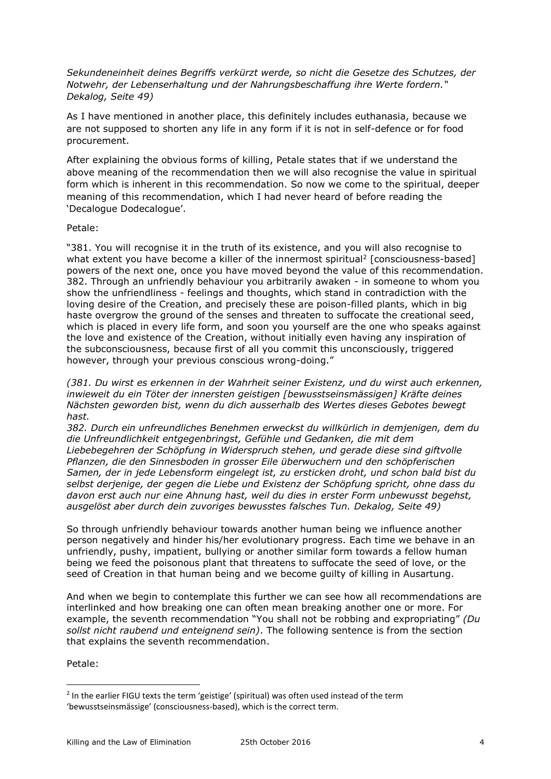*Sekundeneinheit deines Begriffs verkürzt werde, so nicht die Gesetze des Schutzes, der Notwehr, der Lebenserhaltung und der Nahrungsbeschaffung ihre Werte fordern." Dekalog, Seite 49)* 

As I have mentioned in another place, this definitely includes euthanasia, because we are not supposed to shorten any life in any form if it is not in self-defence or for food procurement.

After explaining the obvious forms of killing, Petale states that if we understand the above meaning of the recommendation then we will also recognise the value in spiritual form which is inherent in this recommendation. So now we come to the spiritual, deeper meaning of this recommendation, which I had never heard of before reading the 'Decalogue Dodecalogue'.

## Petale:

"381. You will recognise it in the truth of its existence, and you will also recognise to what extent you have become a killer of the innermost spiritual<sup>2</sup> [consciousness-based] powers of the next one, once you have moved beyond the value of this recommendation. 382. Through an unfriendly behaviour you arbitrarily awaken - in someone to whom you show the unfriendliness - feelings and thoughts, which stand in contradiction with the loving desire of the Creation, and precisely these are poison-filled plants, which in big haste overgrow the ground of the senses and threaten to suffocate the creational seed, which is placed in every life form, and soon you yourself are the one who speaks against the love and existence of the Creation, without initially even having any inspiration of the subconsciousness, because first of all you commit this unconsciously, triggered however, through your previous conscious wrong-doing."

*(381. Du wirst es erkennen in der Wahrheit seiner Existenz, und du wirst auch erkennen, inwieweit du ein Töter der innersten geistigen [bewusstseinsmässigen] Kräfte deines Nächsten geworden bist, wenn du dich ausserhalb des Wertes dieses Gebotes bewegt hast.* 

*382. Durch ein unfreundliches Benehmen erweckst du willkürlich in demjenigen, dem du die Unfreundlichkeit entgegenbringst, Gefühle und Gedanken, die mit dem Liebebegehren der Schöpfung in Widerspruch stehen, und gerade diese sind giftvolle Pflanzen, die den Sinnesboden in grosser Eile überwuchern und den schöpferischen Samen, der in jede Lebensform eingelegt ist, zu ersticken droht, und schon bald bist du selbst derjenige, der gegen die Liebe und Existenz der Schöpfung spricht, ohne dass du davon erst auch nur eine Ahnung hast, weil du dies in erster Form unbewusst begehst, ausgelöst aber durch dein zuvoriges bewusstes falsches Tun. Dekalog, Seite 49)* 

So through unfriendly behaviour towards another human being we influence another person negatively and hinder his/her evolutionary progress. Each time we behave in an unfriendly, pushy, impatient, bullying or another similar form towards a fellow human being we feed the poisonous plant that threatens to suffocate the seed of love, or the seed of Creation in that human being and we become guilty of killing in Ausartung.

And when we begin to contemplate this further we can see how all recommendations are interlinked and how breaking one can often mean breaking another one or more. For example, the seventh recommendation "You shall not be robbing and expropriating" *(Du sollst nicht raubend und enteignend sein)*. The following sentence is from the section that explains the seventh recommendation.

## Petale:

-

<sup>&</sup>lt;sup>2</sup> In the earlier FIGU texts the term 'geistige' (spiritual) was often used instead of the term 'bewusstseinsmässige' (consciousness-based), which is the correct term.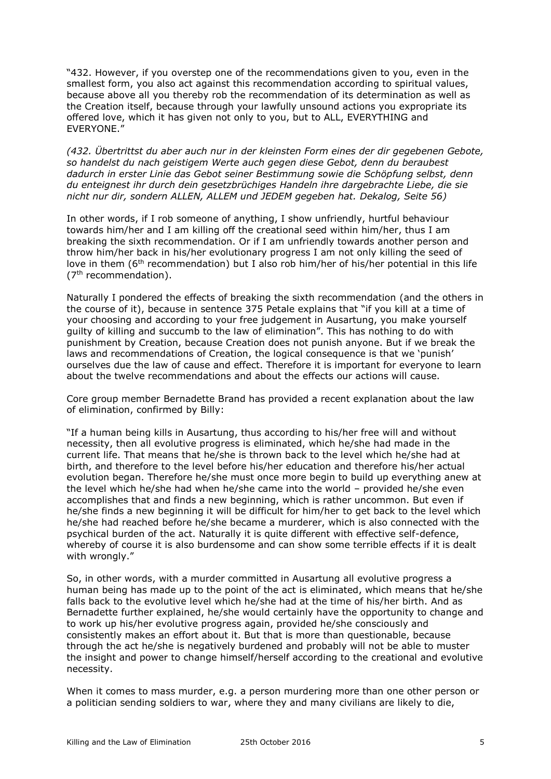"432. However, if you overstep one of the recommendations given to you, even in the smallest form, you also act against this recommendation according to spiritual values, because above all you thereby rob the recommendation of its determination as well as the Creation itself, because through your lawfully unsound actions you expropriate its offered love, which it has given not only to you, but to ALL, EVERYTHING and EVERYONE."

*(432. Übertrittst du aber auch nur in der kleinsten Form eines der dir gegebenen Gebote, so handelst du nach geistigem Werte auch gegen diese Gebot, denn du beraubest dadurch in erster Linie das Gebot seiner Bestimmung sowie die Schöpfung selbst, denn du enteignest ihr durch dein gesetzbrüchiges Handeln ihre dargebrachte Liebe, die sie nicht nur dir, sondern ALLEN, ALLEM und JEDEM gegeben hat. Dekalog, Seite 56)*

In other words, if I rob someone of anything, I show unfriendly, hurtful behaviour towards him/her and I am killing off the creational seed within him/her, thus I am breaking the sixth recommendation. Or if I am unfriendly towards another person and throw him/her back in his/her evolutionary progress I am not only killing the seed of love in them ( $6<sup>th</sup>$  recommendation) but I also rob him/her of his/her potential in this life  $(7<sup>th</sup>$  recommendation).

Naturally I pondered the effects of breaking the sixth recommendation (and the others in the course of it), because in sentence 375 Petale explains that "if you kill at a time of your choosing and according to your free judgement in Ausartung, you make yourself guilty of killing and succumb to the law of elimination". This has nothing to do with punishment by Creation, because Creation does not punish anyone. But if we break the laws and recommendations of Creation, the logical consequence is that we 'punish' ourselves due the law of cause and effect. Therefore it is important for everyone to learn about the twelve recommendations and about the effects our actions will cause.

Core group member Bernadette Brand has provided a recent explanation about the law of elimination, confirmed by Billy:

"If a human being kills in Ausartung, thus according to his/her free will and without necessity, then all evolutive progress is eliminated, which he/she had made in the current life. That means that he/she is thrown back to the level which he/she had at birth, and therefore to the level before his/her education and therefore his/her actual evolution began. Therefore he/she must once more begin to build up everything anew at the level which he/she had when he/she came into the world – provided he/she even accomplishes that and finds a new beginning, which is rather uncommon. But even if he/she finds a new beginning it will be difficult for him/her to get back to the level which he/she had reached before he/she became a murderer, which is also connected with the psychical burden of the act. Naturally it is quite different with effective self-defence, whereby of course it is also burdensome and can show some terrible effects if it is dealt with wrongly."

So, in other words, with a murder committed in Ausartung all evolutive progress a human being has made up to the point of the act is eliminated, which means that he/she falls back to the evolutive level which he/she had at the time of his/her birth. And as Bernadette further explained, he/she would certainly have the opportunity to change and to work up his/her evolutive progress again, provided he/she consciously and consistently makes an effort about it. But that is more than questionable, because through the act he/she is negatively burdened and probably will not be able to muster the insight and power to change himself/herself according to the creational and evolutive necessity.

When it comes to mass murder, e.g. a person murdering more than one other person or a politician sending soldiers to war, where they and many civilians are likely to die,